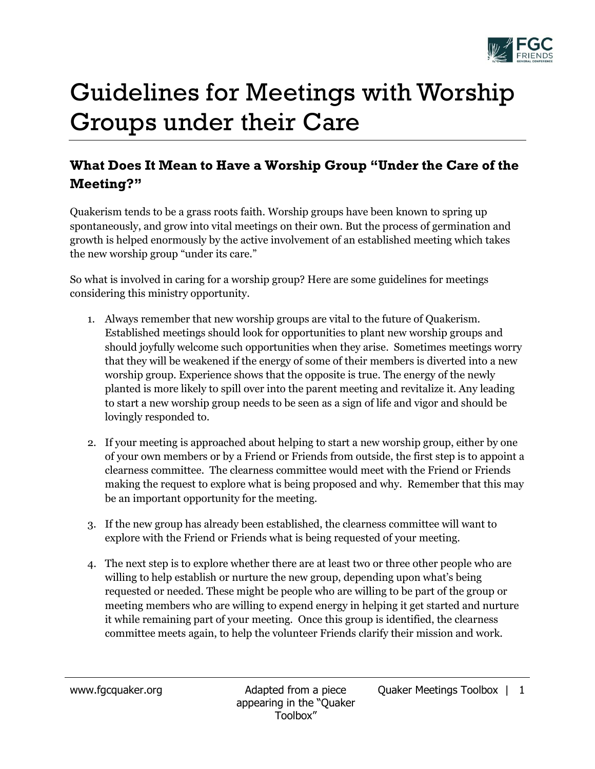

## Guidelines for Meetings with Worship Groups under their Care

## **What Does It Mean to Have a Worship Group "Under the Care of the Meeting?"**

Quakerism tends to be a grass roots faith. Worship groups have been known to spring up spontaneously, and grow into vital meetings on their own. But the process of germination and growth is helped enormously by the active involvement of an established meeting which takes the new worship group "under its care."

So what is involved in caring for a worship group? Here are some guidelines for meetings considering this ministry opportunity.

- 1. Always remember that new worship groups are vital to the future of Quakerism. Established meetings should look for opportunities to plant new worship groups and should joyfully welcome such opportunities when they arise. Sometimes meetings worry that they will be weakened if the energy of some of their members is diverted into a new worship group. Experience shows that the opposite is true. The energy of the newly planted is more likely to spill over into the parent meeting and revitalize it. Any leading to start a new worship group needs to be seen as a sign of life and vigor and should be lovingly responded to.
- 2. If your meeting is approached about helping to start a new worship group, either by one of your own members or by a Friend or Friends from outside, the first step is to appoint a clearness committee. The clearness committee would meet with the Friend or Friends making the request to explore what is being proposed and why. Remember that this may be an important opportunity for the meeting.
- 3. If the new group has already been established, the clearness committee will want to explore with the Friend or Friends what is being requested of your meeting.
- 4. The next step is to explore whether there are at least two or three other people who are willing to help establish or nurture the new group, depending upon what's being requested or needed. These might be people who are willing to be part of the group or meeting members who are willing to expend energy in helping it get started and nurture it while remaining part of your meeting. Once this group is identified, the clearness committee meets again, to help the volunteer Friends clarify their mission and work.